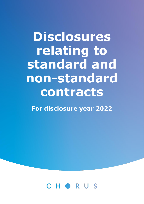# **Disclosures relating to standard and non-standard contracts**

**For disclosure year 2022** 

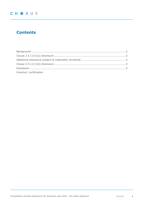# **Contents**

| Directors' certification |  |
|--------------------------|--|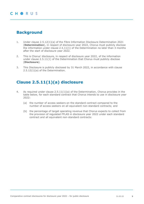## <span id="page-2-0"></span>**Background**

- 1. Under clause 2.5.12(1)(a) of the Fibre Information Disclosure Determination 2021 (**Determination**), in respect of disclosure year 2022, Chorus must publicly disclose the information under clause 2.5.11(1) of the Determination no later than 3 months after the start of disclosure year 2022.
- 2. This is Chorus' disclosure, in respect of disclosure year 2022, of the information under clause 2.5.11(1) of the Determination that Chorus must publicly disclose (**Disclosure**).
- 3. This Disclosure is publicly disclosed by 31 March 2022, in accordance with clause 2.5.12(1)(a) of the Determination.

## <span id="page-2-1"></span>**Clause 2.5.11(1)(a) disclosure**

- 4. As required under clause 2.5.11(1)(a) of the Determination, Chorus provides in the table below, for each standard contract that Chorus intends to use in disclosure year  $2022.$ 
	- (a) the number of access seekers on the standard contract compared to the number of access seekers on all equivalent non-standard contracts; and
	- (b) the percentage of target operating revenue that Chorus expects to collect from the provision of regulated FFLAS in disclosure year 2022 under each standard contract and all equivalent non-standard contracts: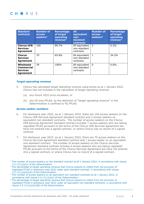| <b>Standard</b><br><b>contracts</b>                                   | <b>Number of</b><br><b>access</b><br>seekers <sup>1</sup> | <b>Percentage</b><br>of target<br>operating<br>revenue $2$ | <b>AII</b><br>equivalent<br>non-<br><b>standard</b><br>contracts | <b>Number of</b><br>access<br>seekers <sup>3</sup> | <b>Percentage</b><br>of target<br>operating<br>revenue <sup>4</sup> |
|-----------------------------------------------------------------------|-----------------------------------------------------------|------------------------------------------------------------|------------------------------------------------------------------|----------------------------------------------------|---------------------------------------------------------------------|
| <b>Chorus UFB</b><br><b>Services</b><br>Agreement                     | 100                                                       | 99.7%                                                      | All equivalent<br>non-standard<br>contracts                      | $\mathcal{P}$                                      | 0.3%                                                                |
| <b>Chorus</b><br><b>Services</b><br>Agreement                         | 70                                                        | 65.8%                                                      | All equivalent<br>non-standard<br>contracts                      | 1                                                  | 34.2%                                                               |
| Wholesale<br><b>Commercial</b><br><b>Services</b><br><b>Agreement</b> | 39                                                        | 100%                                                       | All equivalent<br>non-standard<br>contracts                      | $\Omega$                                           | $0.0\%$ .                                                           |

### *Target operating revenue*

- 5. Chorus has calculated target operating revenue using prices as at 1 January 2022. Chorus has not included in the calculation of target operating revenue:
	- (a) any future 2022 price increases; or
	- (b) any ID-only FFLAS, as the definition of "target operating revenue" in the Determination is confined to PQ FFLAS.

#### *Access seeker numbers*

- 6. For disclosure year 2022, as at 1 January 2022, there are 100 access seekers on the Chorus UFB Services Agreement standard contract and 2 access seekers on equivalent non-standard contracts. The number of access seekers on the Chorus UFB Services Agreement standard contract includes 7 access seekers who are taking regulated FFLAS pursuant to the terms of the Chorus UFB Services Agreement but have not entered into a signed contract, or where Chorus has no record of a signed contract.
- 7. For disclosure year 2022, as at 1 January 2022, there are 70 access seekers on the Chorus Services Agreement standard contract and 1 access seeker on an equivalent non-standard contract. The number of access seekers on the Chorus Services Agreement standard contract includes 4 access seekers who are taking regulated FFLAS pursuant to the terms of the Chorus Services Agreement but have not entered into a signed contract, or where Chorus has no record of a signed contract.
- $1$  The number of access seekers on the standard contract as at 1 January 2022, in accordance with clause 2.5.11(1)(a)(i) of the Determination.
- <sup>2</sup> The percentage of target operating revenue that Chorus expects to collect from the provision of regulated FFLAS in disclosure year 2022 under each standard contract, in accordance with clause 2.5.11(1)(a)(ii)(A) of the Determination.
- <sup>3</sup> The number of access seekers on all equivalent non-standard contracts as at 1 January 2022, in accordance with clause 2.5.11(1)(a)(i) of the Determination.
- <sup>4</sup> The percentage of target operating revenue that Chorus expects to collect from the provision of regulated FFLAS in disclosure year 2022 under all equivalent non-standard contracts, in accordance with clause 2.5.11(1)(a)(ii)(B) of the Determination.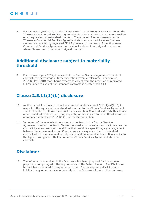8. For disclosure year 2022, as at 1 January 2022, there are 39 access seekers on the Wholesale Commercial Services Agreement standard contract and no access seekers on an equivalent non-standard contract. The number of access seekers on the Wholesale Commercial Services Agreement standard contract includes 6 access seekers who are taking regulated FFLAS pursuant to the terms of the Wholesale Commercial Services Agreement but have not entered into a signed contract, or where Chorus has no record of a signed contract.

## <span id="page-4-0"></span>**Additional disclosure subject to materiality threshold**

9. For disclosure year 2022, in respect of the Chorus Services Agreement standard contract, the percentage of target operating revenue calculated under clause  $2.5.11(1)(a)(ii)(B)$  that Chorus expects to collect from the provision of regulated FFLAS under equivalent non-standard contracts is greater than 10%.

## <span id="page-4-1"></span>**Clause 2.5.11(1)(b) disclosure**

- 10. As the materiality threshold has been reached under clause  $2.5.11(1)(a)(ii)(B)$  in respect of the equivalent non-standard contract to the Chorus Services Agreement standard contract, Chorus must publicly disclose how Chorus decides whether to use a non-standard contract, including any criteria Chorus uses to make this decision, in accordance with clause 2.5.11(1)(b) of the Determination.
- 11. In respect of the equivalent non-standard contract to the Chorus Services Agreement standard contract, Chorus has used a non-standard contract because the contract includes terms and conditions that describe a specific legacy arrangement between the access seeker and Chorus. As a consequence, the non-standard contract with this access seeker includes an additional service description specific to the legacy arrangement that is not in the Chorus Services Agreement standard contract.

## <span id="page-4-2"></span>**Disclaimer**

12. The information contained in the Disclosure has been prepared for the express purpose of complying with the requirements of the Determination. The Disclosure has not been prepared for any other purpose. Chorus expressly disclaims any liability to any other party who may rely on the Disclosure for any other purpose.